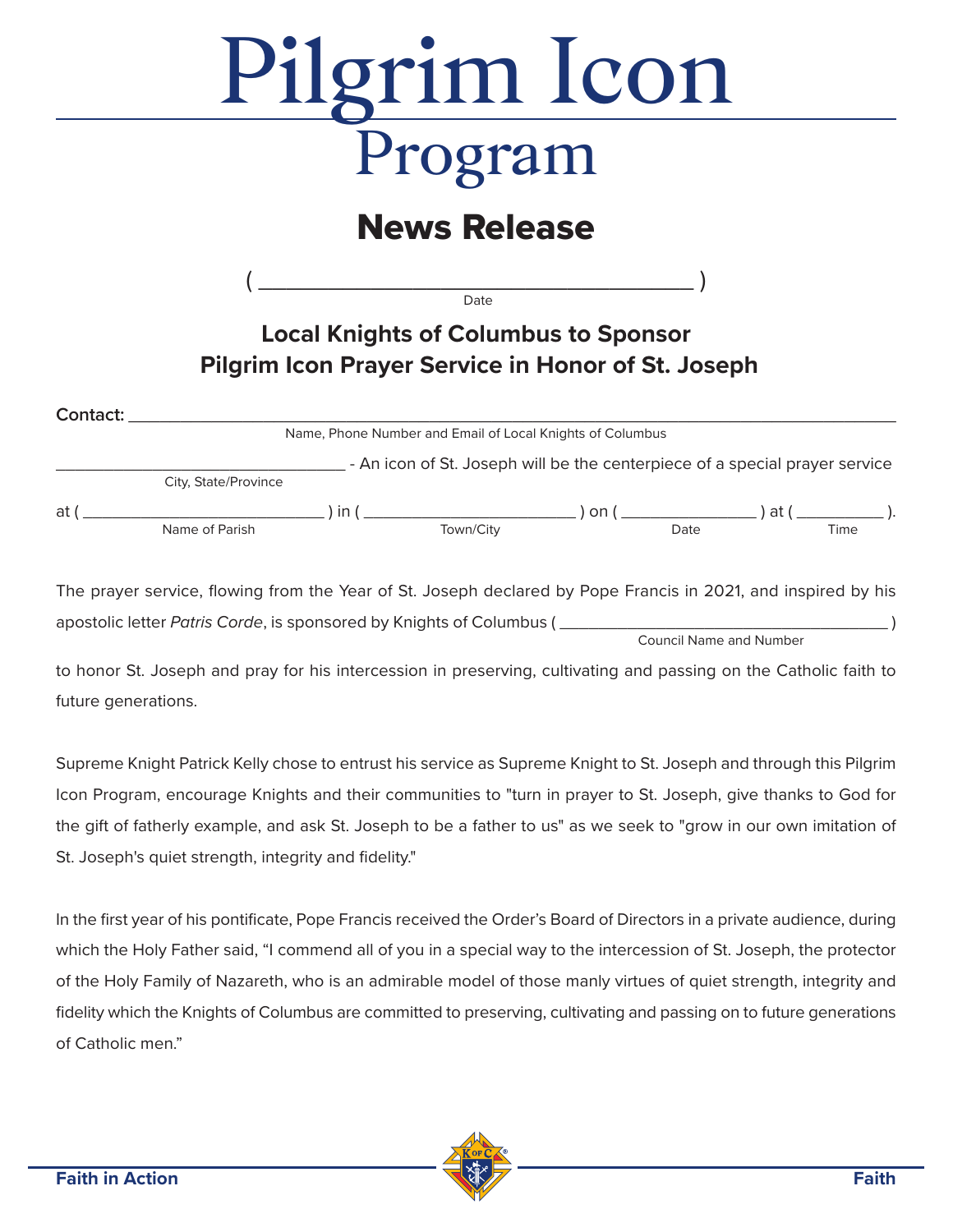# Pilgrim Icon

# **News Release**

 $($   $\qquad \qquad$   $\qquad \qquad$   $\qquad \qquad$   $\qquad \qquad$   $\qquad \qquad$   $\qquad \qquad$   $\qquad \qquad$   $\qquad \qquad$   $\qquad \qquad$   $\qquad \qquad$   $\qquad \qquad$   $\qquad \qquad$   $\qquad \qquad$   $\qquad \qquad$   $\qquad \qquad$   $\qquad \qquad$   $\qquad \qquad$   $\qquad \qquad$   $\qquad \qquad$   $\qquad \qquad$   $\qquad \qquad$   $\qquad \qquad$   $\qquad \qquad$   $\qquad \qquad$  Date

## **Local Knights of Columbus to Sponsor Pilgrim Icon Prayer Service in Honor of St. Joseph**

| Contact: |                                                           |    |                                                                             |    |      |      |      |
|----------|-----------------------------------------------------------|----|-----------------------------------------------------------------------------|----|------|------|------|
|          | Name, Phone Number and Email of Local Knights of Columbus |    |                                                                             |    |      |      |      |
|          |                                                           |    | - An icon of St. Joseph will be the centerpiece of a special prayer service |    |      |      |      |
|          | City, State/Province                                      |    |                                                                             |    |      |      |      |
| at       |                                                           | in |                                                                             | on |      | at ( |      |
|          | Name of Parish                                            |    | Town/City                                                                   |    | Date |      | Time |

The prayer service, flowing from the Year of St. Joseph declared by Pope Francis in 2021, and inspired by his apostolic letter Patris Corde, is sponsored by Knights of Columbus (

Council Name and Number

to honor St. Joseph and pray for his intercession in preserving, cultivating and passing on the Catholic faith to future generations.

Supreme Knight Patrick Kelly chose to entrust his service as Supreme Knight to St. Joseph and through this Pilgrim Icon Program, encourage Knights and their communities to "turn in prayer to St. Joseph, give thanks to God for the gift of fatherly example, and ask St. Joseph to be a father to us" as we seek to "grow in our own imitation of St. Joseph's quiet strength, integrity and fidelity."

In the first year of his pontificate, Pope Francis received the Order's Board of Directors in a private audience, during which the Holy Father said, "I commend all of you in a special way to the intercession of St. Joseph, the protector of the Holy Family of Nazareth, who is an admirable model of those manly virtues of quiet strength, integrity and fidelity which the Knights of Columbus are committed to preserving, cultivating and passing on to future generations of Catholic men."